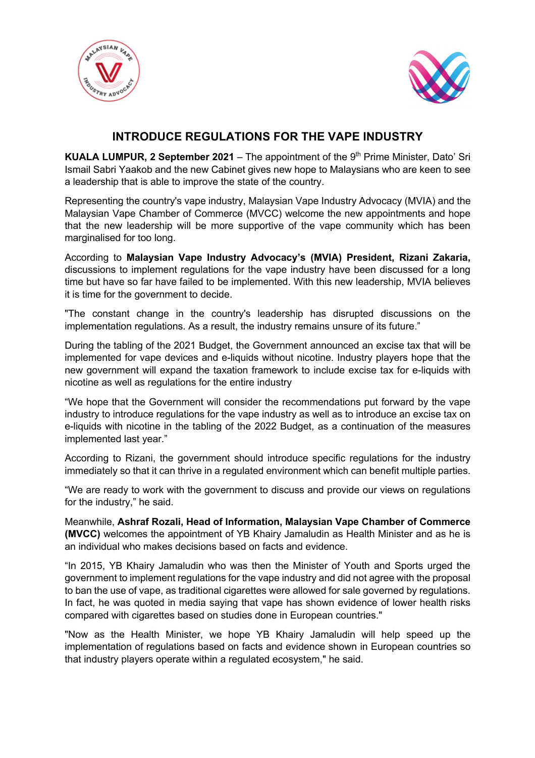



## **INTRODUCE REGULATIONS FOR THE VAPE INDUSTRY**

**KUALA LUMPUR, 2 September 2021** – The appointment of the 9<sup>th</sup> Prime Minister. Dato' Sri Ismail Sabri Yaakob and the new Cabinet gives new hope to Malaysians who are keen to see a leadership that is able to improve the state of the country.

Representing the country's vape industry, Malaysian Vape Industry Advocacy (MVIA) and the Malaysian Vape Chamber of Commerce (MVCC) welcome the new appointments and hope that the new leadership will be more supportive of the vape community which has been marginalised for too long.

According to **Malaysian Vape Industry Advocacy's (MVIA) President, Rizani Zakaria,** discussions to implement regulations for the vape industry have been discussed for a long time but have so far have failed to be implemented. With this new leadership, MVIA believes it is time for the government to decide.

"The constant change in the country's leadership has disrupted discussions on the implementation regulations. As a result, the industry remains unsure of its future."

During the tabling of the 2021 Budget, the Government announced an excise tax that will be implemented for vape devices and e-liquids without nicotine. Industry players hope that the new government will expand the taxation framework to include excise tax for e-liquids with nicotine as well as regulations for the entire industry

"We hope that the Government will consider the recommendations put forward by the vape industry to introduce regulations for the vape industry as well as to introduce an excise tax on e-liquids with nicotine in the tabling of the 2022 Budget, as a continuation of the measures implemented last year."

According to Rizani, the government should introduce specific regulations for the industry immediately so that it can thrive in a regulated environment which can benefit multiple parties.

"We are ready to work with the government to discuss and provide our views on regulations for the industry," he said.

Meanwhile, **Ashraf Rozali, Head of Information, Malaysian Vape Chamber of Commerce (MVCC)** welcomes the appointment of YB Khairy Jamaludin as Health Minister and as he is an individual who makes decisions based on facts and evidence.

"In 2015, YB Khairy Jamaludin who was then the Minister of Youth and Sports urged the government to implement regulations for the vape industry and did not agree with the proposal to ban the use of vape, as traditional cigarettes were allowed for sale governed by regulations. In fact, he was quoted in media saying that vape has shown evidence of lower health risks compared with cigarettes based on studies done in European countries."

"Now as the Health Minister, we hope YB Khairy Jamaludin will help speed up the implementation of regulations based on facts and evidence shown in European countries so that industry players operate within a regulated ecosystem," he said.